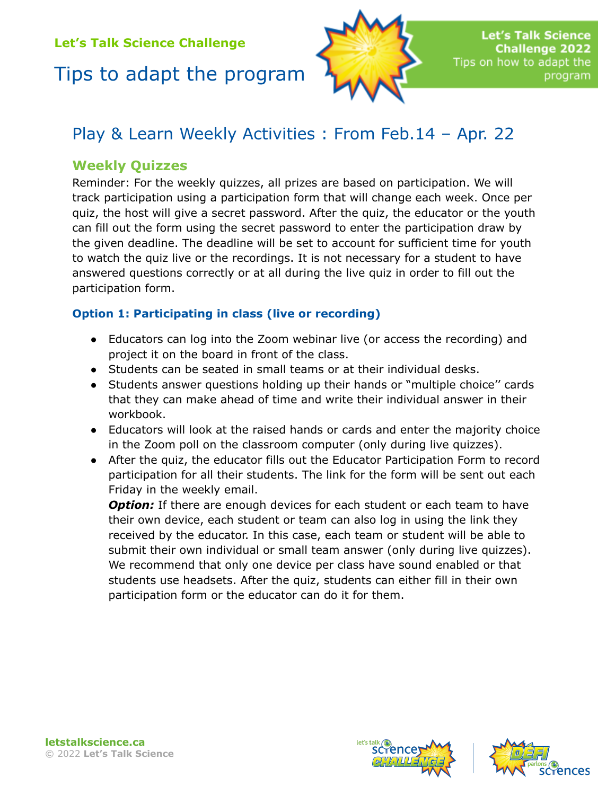# Tips to adapt the program



# Play & Learn Weekly Activities : From Feb.14 – Apr. 22

### **Weekly Quizzes**

Reminder: For the weekly quizzes, all prizes are based on participation. We will track participation using a participation form that will change each week. Once per quiz, the host will give a secret password. After the quiz, the educator or the youth can fill out the form using the secret password to enter the participation draw by the given deadline. The deadline will be set to account for sufficient time for youth to watch the quiz live or the recordings. It is not necessary for a student to have answered questions correctly or at all during the live quiz in order to fill out the participation form.

#### **Option 1: Participating in class (live or recording)**

- Educators can log into the Zoom webinar live (or access the recording) and project it on the board in front of the class.
- Students can be seated in small teams or at their individual desks.
- Students answer questions holding up their hands or "multiple choice'' cards that they can make ahead of time and write their individual answer in their workbook.
- Educators will look at the raised hands or cards and enter the majority choice in the Zoom poll on the classroom computer (only during live quizzes).
- After the quiz, the educator fills out the Educator Participation Form to record participation for all their students. The link for the form will be sent out each Friday in the weekly email.

**Option:** If there are enough devices for each student or each team to have their own device, each student or team can also log in using the link they received by the educator. In this case, each team or student will be able to submit their own individual or small team answer (only during live quizzes). We recommend that only one device per class have sound enabled or that students use headsets. After the quiz, students can either fill in their own participation form or the educator can do it for them.





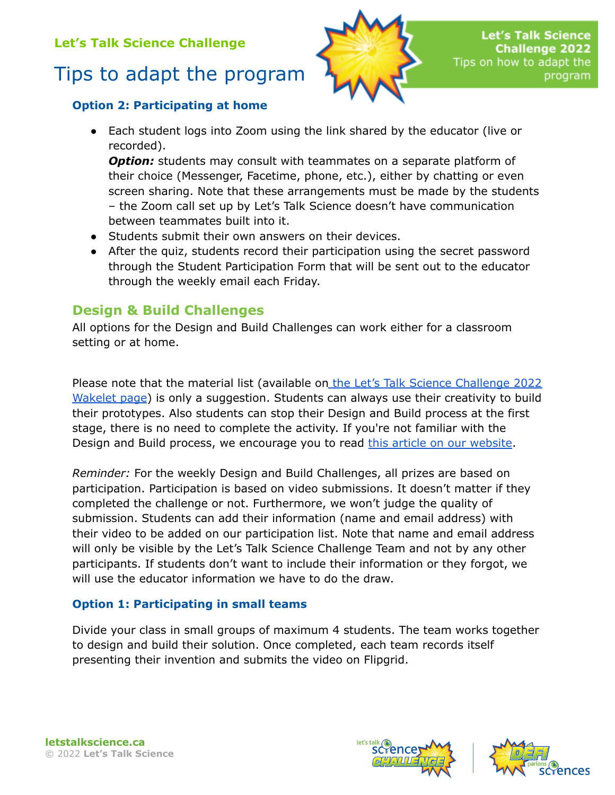# Tips to adapt the program



#### **Option 2: Participating at home**

● Each student logs into Zoom using the link shared by the educator (live or recorded).

*Option:* students may consult with teammates on a separate platform of their choice (Messenger, Facetime, phone, etc.), either by chatting or even screen sharing. Note that these arrangements must be made by the students – the Zoom call set up by Let's Talk Science doesn't have communication between teammates built into it.

- Students submit their own answers on their devices.
- After the quiz, students record their participation using the secret password through the Student Participation Form that will be sent out to the educator through the weekly email each Friday.

## **Design & Build Challenges**

All options for the Design and Build Challenges can work either for a classroom setting or at home.

Please note that the material list (available on the Let's Talk Science [Challenge](https://wke.lt/w/s/ZX7pT7) 2022 [Wakelet](https://wke.lt/w/s/ZX7pT7) page) is only a suggestion. Students can always use their creativity to build their prototypes. Also students can stop their Design and Build process at the first stage, there is no need to complete the activity. If you're not familiar with the Design and Build process, we encourage you to read this article on our [website](https://letstalkscience.ca/educational-resources/backgrounders/design-build-process).

*Reminder:* For the weekly Design and Build Challenges, all prizes are based on participation. Participation is based on video submissions. It doesn't matter if they completed the challenge or not. Furthermore, we won't judge the quality of submission. Students can add their information (name and email address) with their video to be added on our participation list. Note that name and email address will only be visible by the Let's Talk Science Challenge Team and not by any other participants. If students don't want to include their information or they forgot, we will use the educator information we have to do the draw.

### **Option 1: Participating in small teams**

Divide your class in small groups of maximum 4 students. The team works together to design and build their solution. Once completed, each team records itself presenting their invention and submits the video on Flipgrid.



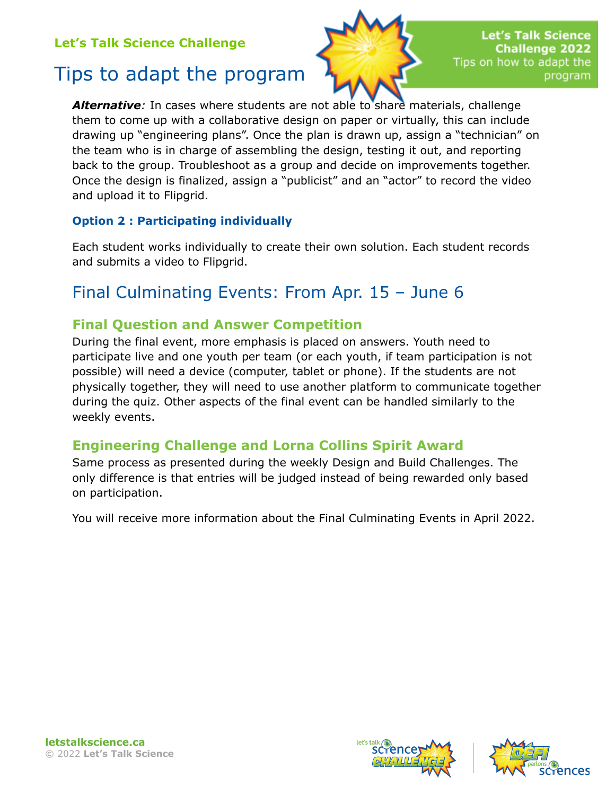# Tips to adapt the program



*Alternative:* In cases where students are not able to share materials, challenge them to come up with a collaborative design on paper or virtually, this can include drawing up "engineering plans". Once the plan is drawn up, assign a "technician" on the team who is in charge of assembling the design, testing it out, and reporting back to the group. Troubleshoot as a group and decide on improvements together. Once the design is finalized, assign a "publicist" and an "actor" to record the video and upload it to Flipgrid.

#### **Option 2 : Participating individually**

Each student works individually to create their own solution. Each student records and submits a video to Flipgrid.

## Final Culminating Events: From Apr. 15 – June 6

### **Final Question and Answer Competition**

During the final event, more emphasis is placed on answers. Youth need to participate live and one youth per team (or each youth, if team participation is not possible) will need a device (computer, tablet or phone). If the students are not physically together, they will need to use another platform to communicate together during the quiz. Other aspects of the final event can be handled similarly to the weekly events.

### **Engineering Challenge and Lorna Collins Spirit Award**

Same process as presented during the weekly Design and Build Challenges. The only difference is that entries will be judged instead of being rewarded only based on participation.

You will receive more information about the Final Culminating Events in April 2022.